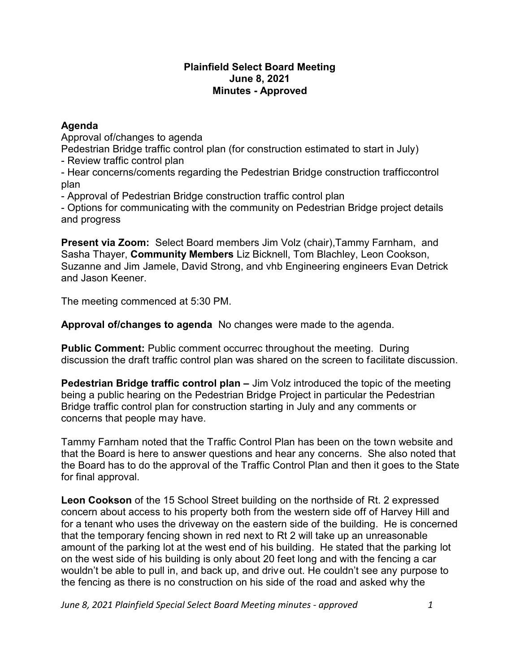## **Plainfield Select Board Meeting June 8, 2021 Minutes - Approved**

## **Agenda**

Approval of/changes to agenda Pedestrian Bridge traffic control plan (for construction estimated to start in July) - Review traffic control plan

- Hear concerns/coments regarding the Pedestrian Bridge construction trafficcontrol plan

- Approval of Pedestrian Bridge construction traffic control plan

- Options for communicating with the community on Pedestrian Bridge project details and progress

**Present via Zoom:** Select Board members Jim Volz (chair),Tammy Farnham, and Sasha Thayer, **Community Members** Liz Bicknell, Tom Blachley, Leon Cookson, Suzanne and Jim Jamele, David Strong, and vhb Engineering engineers Evan Detrick and Jason Keener.

The meeting commenced at 5:30 PM.

**Approval of/changes to agenda** No changes were made to the agenda.

**Public Comment:** Public comment occurrec throughout the meeting. During discussion the draft traffic control plan was shared on the screen to facilitate discussion.

**Pedestrian Bridge traffic control plan** – Jim Volz introduced the topic of the meeting being a public hearing on the Pedestrian Bridge Project in particular the Pedestrian Bridge traffic control plan for construction starting in July and any comments or concerns that people may have.

Tammy Farnham noted that the Traffic Control Plan has been on the town website and that the Board is here to answer questions and hear any concerns. She also noted that the Board has to do the approval of the Traffic Control Plan and then it goes to the State for final approval.

**Leon Cookson** of the 15 School Street building on the northside of Rt. 2 expressed concern about access to his property both from the western side off of Harvey Hill and for a tenant who uses the driveway on the eastern side of the building. He is concerned that the temporary fencing shown in red next to Rt 2 will take up an unreasonable amount of the parking lot at the west end of his building. He stated that the parking lot on the west side of his building is only about 20 feet long and with the fencing a car wouldn't be able to pull in, and back up, and drive out. He couldn't see any purpose to the fencing as there is no construction on his side of the road and asked why the

*June 8, 2021 Plainfield Special Select Board Meeting minutes - approved 1*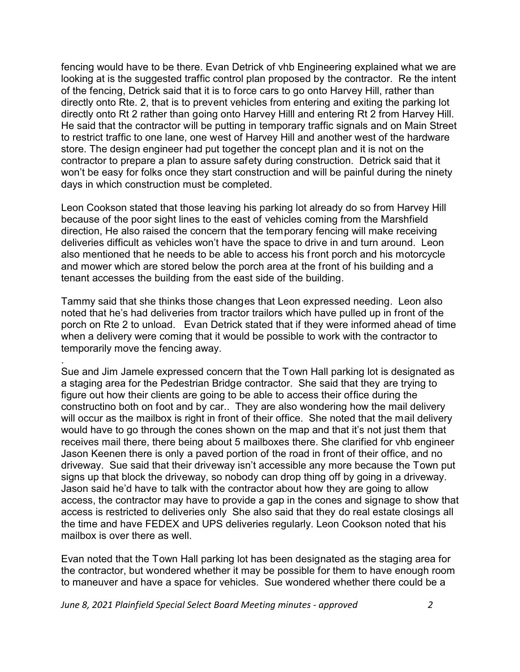fencing would have to be there. Evan Detrick of vhb Engineering explained what we are looking at is the suggested traffic control plan proposed by the contractor. Re the intent of the fencing, Detrick said that it is to force cars to go onto Harvey Hill, rather than directly onto Rte. 2, that is to prevent vehicles from entering and exiting the parking lot directly onto Rt 2 rather than going onto Harvey Hilll and entering Rt 2 from Harvey Hill. He said that the contractor will be putting in temporary traffic signals and on Main Street to restrict traffic to one lane, one west of Harvey Hill and another west of the hardware store. The design engineer had put together the concept plan and it is not on the contractor to prepare a plan to assure safety during construction. Detrick said that it won't be easy for folks once they start construction and will be painful during the ninety days in which construction must be completed.

Leon Cookson stated that those leaving his parking lot already do so from Harvey Hill because of the poor sight lines to the east of vehicles coming from the Marshfield direction, He also raised the concern that the temporary fencing will make receiving deliveries difficult as vehicles won't have the space to drive in and turn around. Leon also mentioned that he needs to be able to access his front porch and his motorcycle and mower which are stored below the porch area at the front of his building and a tenant accesses the building from the east side of the building.

Tammy said that she thinks those changes that Leon expressed needing. Leon also noted that he's had deliveries from tractor trailors which have pulled up in front of the porch on Rte 2 to unload. Evan Detrick stated that if they were informed ahead of time when a delivery were coming that it would be possible to work with the contractor to temporarily move the fencing away.

Sue and Jim Jamele expressed concern that the Town Hall parking lot is designated as a staging area for the Pedestrian Bridge contractor. She said that they are trying to figure out how their clients are going to be able to access their office during the constructino both on foot and by car.. They are also wondering how the mail delivery will occur as the mailbox is right in front of their office. She noted that the mail delivery would have to go through the cones shown on the map and that it's not just them that receives mail there, there being about 5 mailboxes there. She clarified for vhb engineer Jason Keenen there is only a paved portion of the road in front of their office, and no driveway. Sue said that their driveway isn't accessible any more because the Town put signs up that block the driveway, so nobody can drop thing off by going in a driveway. Jason said he'd have to talk with the contractor about how they are going to allow access, the contractor may have to provide a gap in the cones and signage to show that access is restricted to deliveries only She also said that they do real estate closings all the time and have FEDEX and UPS deliveries regularly. Leon Cookson noted that his mailbox is over there as well.

Evan noted that the Town Hall parking lot has been designated as the staging area for the contractor, but wondered whether it may be possible for them to have enough room to maneuver and have a space for vehicles. Sue wondered whether there could be a

*June 8, 2021 Plainfield Special Select Board Meeting minutes - approved 2*

.